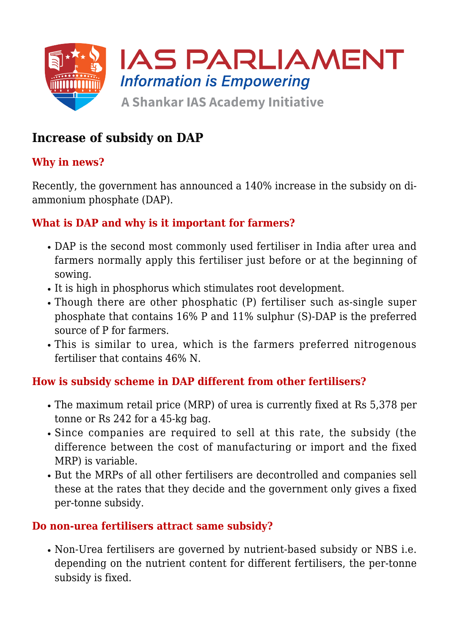

# **Increase of subsidy on DAP**

# **Why in news?**

Recently, the government has announced a 140% increase in the subsidy on diammonium phosphate (DAP).

# **What is DAP and why is it important for farmers?**

- DAP is the second most commonly used fertiliser in India after urea and farmers normally apply this fertiliser just before or at the beginning of sowing.
- It is high in phosphorus which stimulates root development.
- Though there are other phosphatic (P) fertiliser such as-single super phosphate that contains 16% P and 11% sulphur (S)-DAP is the preferred source of P for farmers.
- This is similar to urea, which is the farmers preferred nitrogenous fertiliser that contains 46% N.

# **How is subsidy scheme in DAP different from other fertilisers?**

- The maximum retail price (MRP) of urea is currently fixed at Rs 5,378 per tonne or Rs 242 for a 45-kg bag.
- Since companies are required to sell at this rate, the subsidy (the difference between the cost of manufacturing or import and the fixed MRP) is variable.
- But the MRPs of all other fertilisers are decontrolled and companies sell these at the rates that they decide and the government only gives a fixed per-tonne subsidy.

#### **Do non-urea fertilisers attract same subsidy?**

Non-Urea fertilisers are governed by nutrient-based subsidy or NBS i.e. depending on the nutrient content for different fertilisers, the per-tonne subsidy is fixed.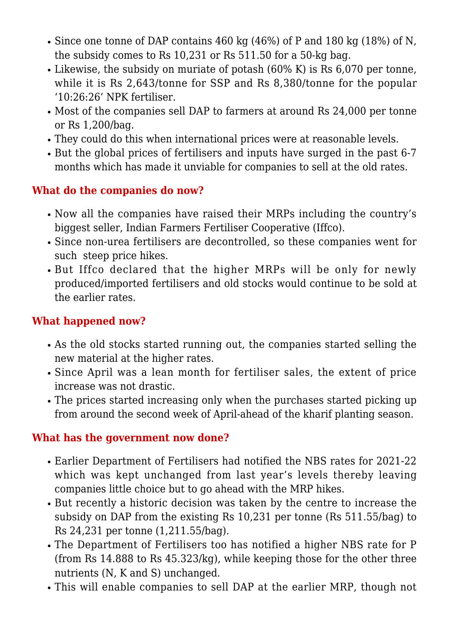- Since one tonne of DAP contains 460 kg (46%) of P and 180 kg (18%) of N, the subsidy comes to Rs 10,231 or Rs 511.50 for a 50-kg bag.
- Likewise, the subsidy on muriate of potash (60% K) is Rs 6,070 per tonne, while it is Rs 2,643/tonne for SSP and Rs 8,380/tonne for the popular '10:26:26' NPK fertiliser.
- Most of the companies sell DAP to farmers at around Rs 24,000 per tonne or Rs 1,200/bag.
- They could do this when international prices were at reasonable levels.
- But the global prices of fertilisers and inputs have surged in the past 6-7 months which has made it unviable for companies to sell at the old rates.

# **What do the companies do now?**

- Now all the companies have raised their MRPs including the country's biggest seller, Indian Farmers Fertiliser Cooperative (Iffco).
- Since non-urea fertilisers are decontrolled, so these companies went for such steep price hikes.
- But Iffco declared that the higher MRPs will be only for newly produced/imported fertilisers and old stocks would continue to be sold at the earlier rates.

# **What happened now?**

- As the old stocks started running out, the companies started selling the new material at the higher rates.
- Since April was a lean month for fertiliser sales, the extent of price increase was not drastic.
- The prices started increasing only when the purchases started picking up from around the second week of April-ahead of the kharif planting season.

# **What has the government now done?**

- Earlier Department of Fertilisers had notified the NBS rates for 2021-22 which was kept unchanged from last year's levels thereby leaving companies little choice but to go ahead with the MRP hikes.
- But recently a historic decision was taken by the centre to increase the subsidy on DAP from the existing Rs 10,231 per tonne (Rs 511.55/bag) to Rs 24,231 per tonne (1,211.55/bag).
- The Department of Fertilisers too has notified a higher NBS rate for P (from Rs 14.888 to Rs 45.323/kg), while keeping those for the other three nutrients (N, K and S) unchanged.
- This will enable companies to sell DAP at the earlier MRP, though not